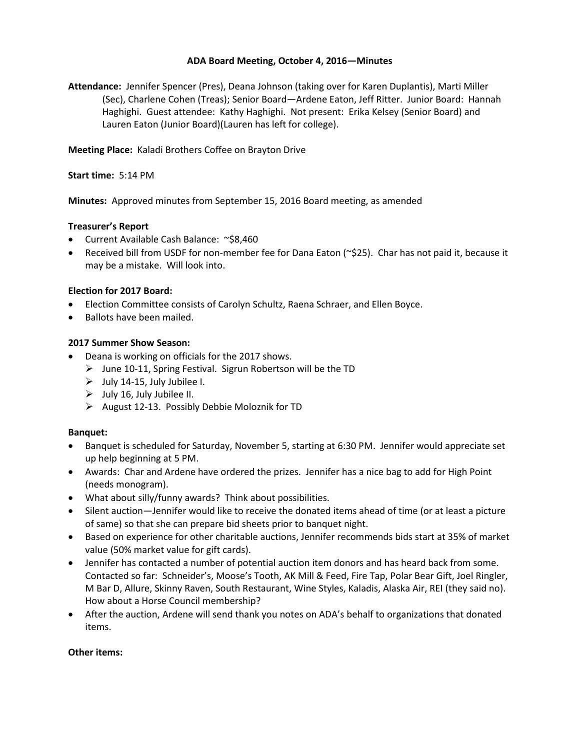### **ADA Board Meeting, October 4, 2016—Minutes**

**Attendance:** Jennifer Spencer (Pres), Deana Johnson (taking over for Karen Duplantis), Marti Miller (Sec), Charlene Cohen (Treas); Senior Board—Ardene Eaton, Jeff Ritter. Junior Board: Hannah Haghighi. Guest attendee: Kathy Haghighi. Not present: Erika Kelsey (Senior Board) and Lauren Eaton (Junior Board)(Lauren has left for college).

**Meeting Place:** Kaladi Brothers Coffee on Brayton Drive

### **Start time:** 5:14 PM

**Minutes:** Approved minutes from September 15, 2016 Board meeting, as amended

# **Treasurer's Report**

- Current Available Cash Balance: ~\$8,460
- Received bill from USDF for non-member fee for Dana Eaton (~\$25). Char has not paid it, because it may be a mistake. Will look into.

# **Election for 2017 Board:**

- Election Committee consists of Carolyn Schultz, Raena Schraer, and Ellen Boyce.
- Ballots have been mailed.

# **2017 Summer Show Season:**

- Deana is working on officials for the 2017 shows.
	- $\triangleright$  June 10-11, Spring Festival. Sigrun Robertson will be the TD
	- $\triangleright$  July 14-15, July Jubilee I.
	- $\triangleright$  July 16, July Jubilee II.
	- $\triangleright$  August 12-13. Possibly Debbie Moloznik for TD

### **Banquet:**

- Banquet is scheduled for Saturday, November 5, starting at 6:30 PM. Jennifer would appreciate set up help beginning at 5 PM.
- Awards: Char and Ardene have ordered the prizes. Jennifer has a nice bag to add for High Point (needs monogram).
- What about silly/funny awards? Think about possibilities.
- Silent auction—Jennifer would like to receive the donated items ahead of time (or at least a picture of same) so that she can prepare bid sheets prior to banquet night.
- Based on experience for other charitable auctions, Jennifer recommends bids start at 35% of market value (50% market value for gift cards).
- Jennifer has contacted a number of potential auction item donors and has heard back from some. Contacted so far: Schneider's, Moose's Tooth, AK Mill & Feed, Fire Tap, Polar Bear Gift, Joel Ringler, M Bar D, Allure, Skinny Raven, South Restaurant, Wine Styles, Kaladis, Alaska Air, REI (they said no). How about a Horse Council membership?
- After the auction, Ardene will send thank you notes on ADA's behalf to organizations that donated items.

### **Other items:**